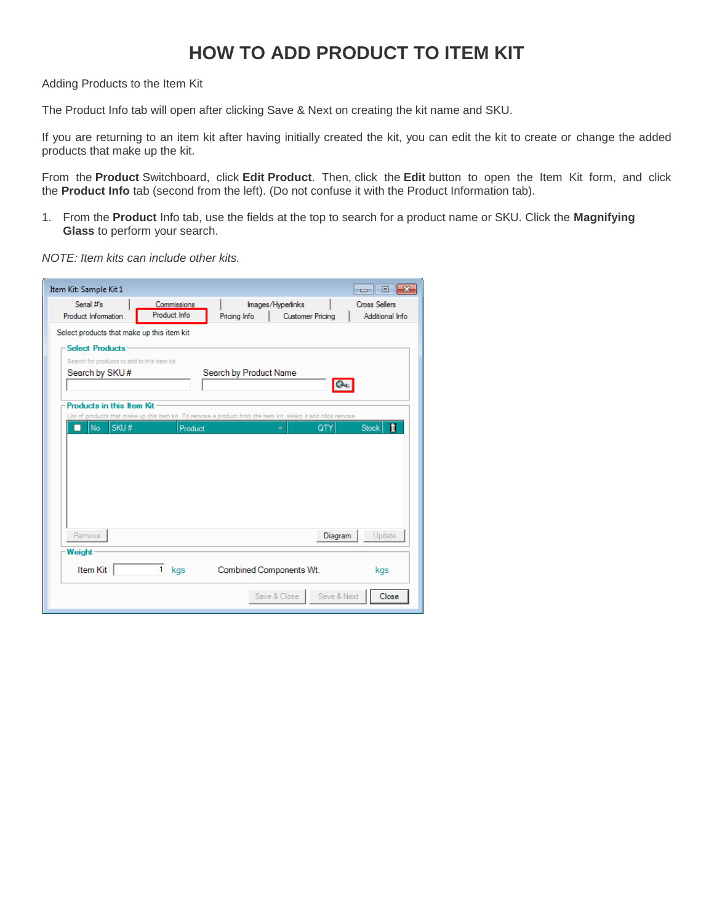## **HOW TO ADD PRODUCT TO ITEM KIT**

Adding Products to the Item Kit

The Product Info tab will open after clicking Save & Next on creating the kit name and SKU.

If you are returning to an item kit after having initially created the kit, you can edit the kit to create or change the added products that make up the kit.

From the **Product** Switchboard, click **Edit Product**. Then, click the **Edit** button to open the Item Kit form, and click the **Product Info** tab (second from the left). (Do not confuse it with the Product Information tab).

1. From the **Product** Info tab, use the fields at the top to search for a product name or SKU. Click the **Magnifying Glass** to perform your search.

*NOTE: Item kits can include other kits.*

| Item Kit: Sample Kit 1                       |              |                         |                                                                                                                        | $\begin{array}{c c c c c c} \hline \multicolumn{3}{c }{\mathbf{C}} & \multicolumn{3}{c }{\mathbf{S}} & \multicolumn{3}{c }{\mathbf{X}} \end{array}$ |
|----------------------------------------------|--------------|-------------------------|------------------------------------------------------------------------------------------------------------------------|-----------------------------------------------------------------------------------------------------------------------------------------------------|
| Serial #'s                                   | Commissions  |                         | Images/Hyperlinks                                                                                                      | <b>Cross Sellers</b>                                                                                                                                |
| Product Information                          | Product Info | Pricing Info            | <b>Customer Pricing</b>                                                                                                | Additional Info                                                                                                                                     |
| Select products that make up this item kit   |              |                         |                                                                                                                        |                                                                                                                                                     |
| -Select Products-                            |              |                         |                                                                                                                        |                                                                                                                                                     |
| Search for products to add to this item kit. |              |                         |                                                                                                                        |                                                                                                                                                     |
| Search by SKU#                               |              | Search by Product Name  | $Q_{\alpha}$                                                                                                           |                                                                                                                                                     |
| <b>Products in this Item Kit</b>             |              |                         |                                                                                                                        |                                                                                                                                                     |
| SKU#<br>No.                                  | Product      |                         | List of products that make up this item kit. To remove a product from the item kit, select it and click remove.<br>QTY | Ñ<br><b>Stock</b>                                                                                                                                   |
|                                              |              |                         |                                                                                                                        |                                                                                                                                                     |
|                                              |              |                         |                                                                                                                        |                                                                                                                                                     |
|                                              |              |                         |                                                                                                                        |                                                                                                                                                     |
|                                              |              |                         |                                                                                                                        |                                                                                                                                                     |
|                                              |              |                         |                                                                                                                        |                                                                                                                                                     |
|                                              |              |                         |                                                                                                                        |                                                                                                                                                     |
| Remove                                       |              |                         | Diagram                                                                                                                | Update                                                                                                                                              |
| Weight                                       |              |                         |                                                                                                                        |                                                                                                                                                     |
| <b>Item Kit</b>                              | 1<br>kgs     | Combined Components Wt. |                                                                                                                        | kgs                                                                                                                                                 |
|                                              |              |                         | Save & Next<br>Save & Close                                                                                            | Close                                                                                                                                               |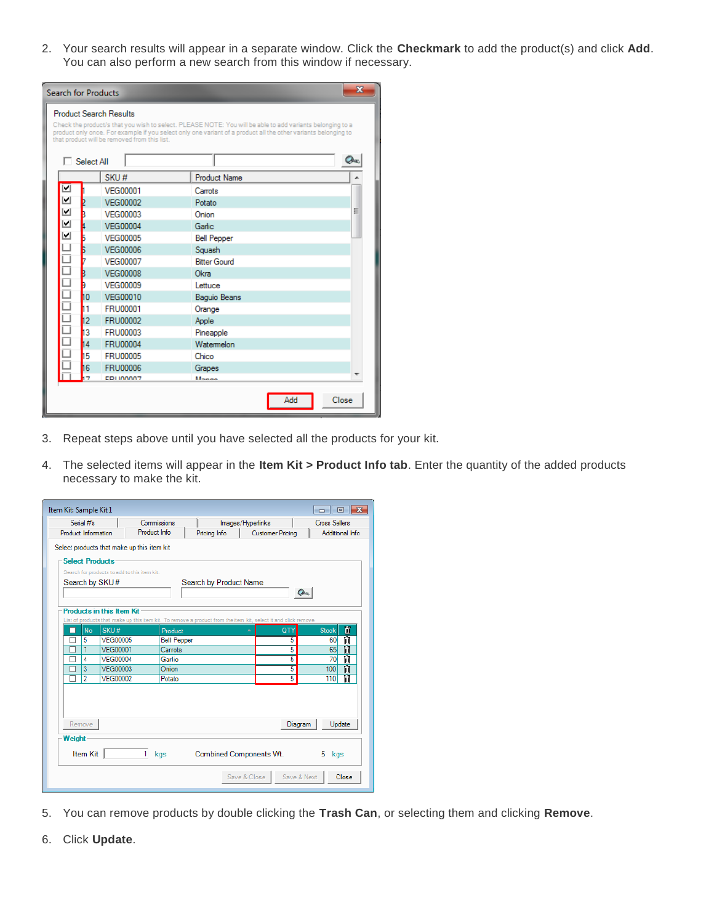2. Your search results will appear in a separate window. Click the **Checkmark** to add the product(s) and click **Add**. You can also perform a new search from this window if necessary.

| $\overline{\mathbf{x}}$<br><b>Search for Products</b> |                   |                                                                               |                                                                                                                                                                                                                             |   |  |  |  |
|-------------------------------------------------------|-------------------|-------------------------------------------------------------------------------|-----------------------------------------------------------------------------------------------------------------------------------------------------------------------------------------------------------------------------|---|--|--|--|
|                                                       | $\Box$ Select All | <b>Product Search Results</b><br>that product will be removed from this list. | Check the product/s that you wish to select. PLEASE NOTE: You will be able to add variants belonging to a<br>product only once. For example if you select only one variant of a product all the other variants belonging to |   |  |  |  |
|                                                       |                   | SKU#                                                                          | <b>Product Name</b>                                                                                                                                                                                                         |   |  |  |  |
| ☑                                                     |                   | VFG00001                                                                      | Carrots                                                                                                                                                                                                                     |   |  |  |  |
| $\blacktriangleright$                                 |                   | <b>VEG00002</b>                                                               | Potato                                                                                                                                                                                                                      |   |  |  |  |
| ⊻                                                     | R                 | <b>VFG00003</b>                                                               | Onion                                                                                                                                                                                                                       | Ξ |  |  |  |
| ⊻                                                     |                   | <b>VFG00004</b>                                                               | Garlic:                                                                                                                                                                                                                     |   |  |  |  |
| ⊻                                                     |                   | <b>VFG00005</b>                                                               | <b>Bell Pepper</b>                                                                                                                                                                                                          |   |  |  |  |
|                                                       | Б                 | <b>VFG00006</b>                                                               | Squash                                                                                                                                                                                                                      |   |  |  |  |
| 0000000                                               |                   | <b>VFG00007</b>                                                               | <b>Bitter Gourd</b>                                                                                                                                                                                                         |   |  |  |  |
|                                                       |                   | <b>VEG00008</b>                                                               | Okra                                                                                                                                                                                                                        |   |  |  |  |
|                                                       | n                 | <b>VFG00009</b>                                                               | Lettuce                                                                                                                                                                                                                     |   |  |  |  |
|                                                       | h۵                | <b>VEG00010</b>                                                               | <b>Baguio Beans</b>                                                                                                                                                                                                         |   |  |  |  |
|                                                       | h1                | <b>FRU00001</b>                                                               | Orange                                                                                                                                                                                                                      |   |  |  |  |
|                                                       | 12                | <b>FRU00002</b>                                                               | Apple                                                                                                                                                                                                                       |   |  |  |  |
|                                                       | h3                | <b>FRU00003</b>                                                               | Pineapple                                                                                                                                                                                                                   |   |  |  |  |
|                                                       | 14                | <b>FRU00004</b>                                                               | Watermelon                                                                                                                                                                                                                  |   |  |  |  |
|                                                       | 15                | <b>FRU00005</b>                                                               | Chico                                                                                                                                                                                                                       |   |  |  |  |
|                                                       | 16                | <b>FRU00006</b>                                                               | Grapes                                                                                                                                                                                                                      |   |  |  |  |
|                                                       |                   | <b>CDUMMA7</b>                                                                | Manne                                                                                                                                                                                                                       |   |  |  |  |
|                                                       |                   |                                                                               | Close<br>Add                                                                                                                                                                                                                |   |  |  |  |

- 3. Repeat steps above until you have selected all the products for your kit.
- 4. The selected items will appear in the **Item Kit > Product Info tab**. Enter the quantity of the added products necessary to make the kit.

| Item Kit: Sample Kit 1 |                                                                                      |                                  |                                                                                            |                        |                                                                                                                 |                      |  |  |  |
|------------------------|--------------------------------------------------------------------------------------|----------------------------------|--------------------------------------------------------------------------------------------|------------------------|-----------------------------------------------------------------------------------------------------------------|----------------------|--|--|--|
|                        | Serial #'s                                                                           |                                  | Commissions                                                                                |                        | Images/Hyperlinks                                                                                               | <b>Cross Sellers</b> |  |  |  |
|                        | Product Information                                                                  |                                  | Product Info                                                                               | Pricing Info           | <b>Customer Pricing</b>                                                                                         | Additional Info      |  |  |  |
| <b>Select Products</b> |                                                                                      | Search by SKU#                   | Select products that make up this item kit<br>Search for products to add to this item kit. | Search by Product Name |                                                                                                                 | <b>CA</b>            |  |  |  |
|                        |                                                                                      | <b>Products in this Item Kit</b> |                                                                                            |                        | List of products that make up this item kit. To remove a product from the item kit, select it and click remove. |                      |  |  |  |
| П                      | No.                                                                                  | SKU#                             | Product                                                                                    |                        | QTY                                                                                                             | m<br><b>Stock</b>    |  |  |  |
|                        | 5                                                                                    | <b>VEG00005</b>                  | <b>Bell Pepper</b>                                                                         |                        | 5                                                                                                               | ĨĨ<br>60             |  |  |  |
|                        | 1                                                                                    | <b>VEG00001</b>                  | Carrots                                                                                    |                        | 5                                                                                                               | ΪĨ<br>65             |  |  |  |
|                        | 4                                                                                    | <b>VEG00004</b>                  | Garlie                                                                                     |                        | 5                                                                                                               | Ħ<br>70              |  |  |  |
|                        | $\overline{3}$                                                                       | <b>VEG00003</b>                  | Onion                                                                                      |                        | 5                                                                                                               | ΪĨ<br>100            |  |  |  |
|                        | $\overline{2}$                                                                       | <b>VEG00002</b>                  | Potato                                                                                     |                        | $\overline{5}$                                                                                                  | ΤîΤ<br>110           |  |  |  |
|                        | Remove<br>Diagram<br>Update                                                          |                                  |                                                                                            |                        |                                                                                                                 |                      |  |  |  |
|                        | Weight<br>1<br>Item Kit<br>Combined Components Wt.<br>kgs<br>5<br>kgs<br>Save & Next |                                  |                                                                                            |                        |                                                                                                                 |                      |  |  |  |
|                        |                                                                                      |                                  |                                                                                            |                        | Save & Close                                                                                                    | Close                |  |  |  |

- 5. You can remove products by double clicking the **Trash Can**, or selecting them and clicking **Remove**.
- 6. Click **Update**.